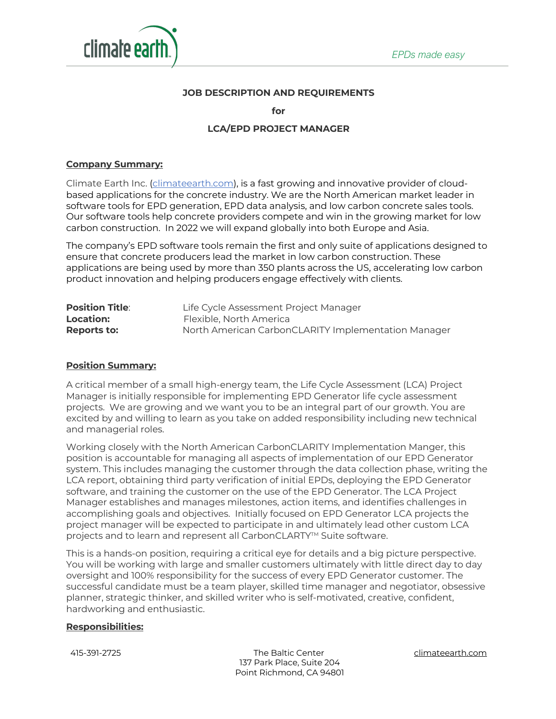

### **JOB DESCRIPTION AND REQUIREMENTS**

**for**

# **LCA/EPD PROJECT MANAGER**

### **Company Summary:**

Climate Earth Inc. (climateearth.com), is a fast growing and innovative provider of cloudbased applications for the concrete industry. We are the North American market leader in software tools for EPD generation, EPD data analysis, and low carbon concrete sales tools. Our software tools help concrete providers compete and win in the growing market for low carbon construction. In 2022 we will expand globally into both Europe and Asia.

The company's EPD software tools remain the first and only suite of applications designed to ensure that concrete producers lead the market in low carbon construction. These applications are being used by more than 350 plants across the US, accelerating low carbon product innovation and helping producers engage effectively with clients.

| <b>Position Title:</b> | Life Cycle Assessment Project Manager               |
|------------------------|-----------------------------------------------------|
| <b>Location:</b>       | Flexible, North America                             |
| Reports to:            | North American CarbonCLARITY Implementation Manager |

### **Position Summary:**

A critical member of a small high-energy team, the Life Cycle Assessment (LCA) Project Manager is initially responsible for implementing EPD Generator life cycle assessment projects. We are growing and we want you to be an integral part of our growth. You are excited by and willing to learn as you take on added responsibility including new technical and managerial roles.

Working closely with the North American CarbonCLARITY Implementation Manger, this position is accountable for managing all aspects of implementation of our EPD Generator system. This includes managing the customer through the data collection phase, writing the LCA report, obtaining third party verification of initial EPDs, deploying the EPD Generator software, and training the customer on the use of the EPD Generator. The LCA Project Manager establishes and manages milestones, action items, and identifies challenges in accomplishing goals and objectives. Initially focused on EPD Generator LCA projects the project manager will be expected to participate in and ultimately lead other custom LCA projects and to learn and represent all CarbonCLARTY<sup>™</sup> Suite software.

This is a hands-on position, requiring a critical eye for details and a big picture perspective. You will be working with large and smaller customers ultimately with little direct day to day oversight and 100% responsibility for the success of every EPD Generator customer. The successful candidate must be a team player, skilled time manager and negotiator, obsessive planner, strategic thinker, and skilled writer who is self-motivated, creative, confident, hardworking and enthusiastic.

#### **Responsibilities:**

 415-391-2725 The Baltic Center climateearth.com 137 Park Place, Suite 204 Point Richmond, CA 94801